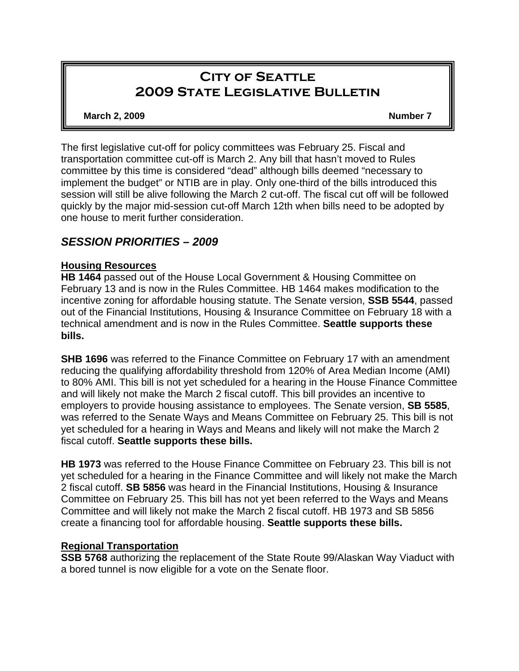# **City of Seattle 2009 State Legislative Bulletin**

#### **March 2, 2009 Number 7 Number 7**

The first legislative cut-off for policy committees was February 25. Fiscal and transportation committee cut-off is March 2. Any bill that hasn't moved to Rules committee by this time is considered "dead" although bills deemed "necessary to implement the budget" or NTIB are in play. Only one-third of the bills introduced this session will still be alive following the March 2 cut-off. The fiscal cut off will be followed quickly by the major mid-session cut-off March 12th when bills need to be adopted by one house to merit further consideration.

## *SESSION PRIORITIES – 2009*

## **Housing Resources**

**HB 1464** passed out of the House Local Government & Housing Committee on February 13 and is now in the Rules Committee. HB 1464 makes modification to the incentive zoning for affordable housing statute. The Senate version, **SSB 5544**, passed out of the Financial Institutions, Housing & Insurance Committee on February 18 with a technical amendment and is now in the Rules Committee. **Seattle supports these bills.** 

**SHB 1696** was referred to the Finance Committee on February 17 with an amendment reducing the qualifying affordability threshold from 120% of Area Median Income (AMI) to 80% AMI. This bill is not yet scheduled for a hearing in the House Finance Committee and will likely not make the March 2 fiscal cutoff. This bill provides an incentive to employers to provide housing assistance to employees. The Senate version, **SB 5585**, was referred to the Senate Ways and Means Committee on February 25. This bill is not yet scheduled for a hearing in Ways and Means and likely will not make the March 2 fiscal cutoff. **Seattle supports these bills.** 

**HB 1973** was referred to the House Finance Committee on February 23. This bill is not yet scheduled for a hearing in the Finance Committee and will likely not make the March 2 fiscal cutoff. **SB 5856** was heard in the Financial Institutions, Housing & Insurance Committee on February 25. This bill has not yet been referred to the Ways and Means Committee and will likely not make the March 2 fiscal cutoff. HB 1973 and SB 5856 create a financing tool for affordable housing. **Seattle supports these bills.** 

## **Regional Transportation**

**SSB 5768** authorizing the replacement of the State Route 99/Alaskan Way Viaduct with a bored tunnel is now eligible for a vote on the Senate floor.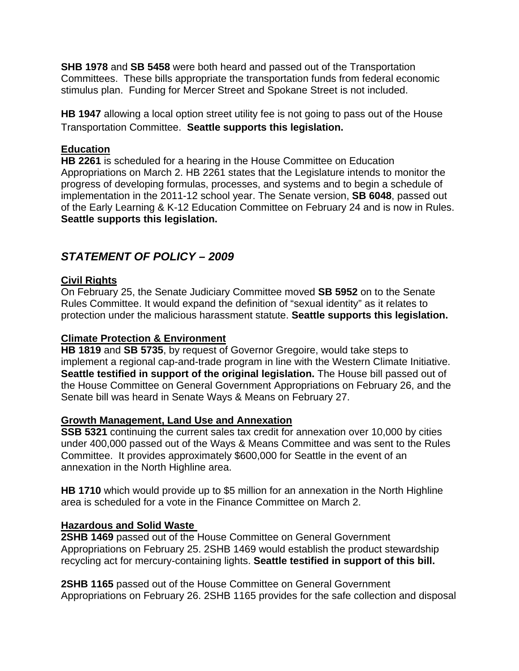**SHB 1978** and **SB 5458** were both heard and passed out of the Transportation Committees. These bills appropriate the transportation funds from federal economic stimulus plan. Funding for Mercer Street and Spokane Street is not included.

**HB 1947** allowing a local option street utility fee is not going to pass out of the House Transportation Committee. **Seattle supports this legislation.** 

## **Education**

**HB 2261** is scheduled for a hearing in the House Committee on Education Appropriations on March 2. HB 2261 states that the Legislature intends to monitor the progress of developing formulas, processes, and systems and to begin a schedule of implementation in the 2011-12 school year. The Senate version, **SB 6048**, passed out of the Early Learning & K-12 Education Committee on February 24 and is now in Rules. **Seattle supports this legislation.** 

## *STATEMENT OF POLICY – 2009*

## **Civil Rights**

On February 25, the Senate Judiciary Committee moved **SB 5952** on to the Senate Rules Committee. It would expand the definition of "sexual identity" as it relates to protection under the malicious harassment statute. **Seattle supports this legislation.** 

## **Climate Protection & Environment**

**HB 1819** and **SB 5735**, by request of Governor Gregoire, would take steps to implement a regional cap-and-trade program in line with the Western Climate Initiative. **Seattle testified in support of the original legislation.** The House bill passed out of the House Committee on General Government Appropriations on February 26, and the Senate bill was heard in Senate Ways & Means on February 27.

## **Growth Management, Land Use and Annexation**

**SSB 5321** continuing the current sales tax credit for annexation over 10,000 by cities under 400,000 passed out of the Ways & Means Committee and was sent to the Rules Committee. It provides approximately \$600,000 for Seattle in the event of an annexation in the North Highline area.

**HB 1710** which would provide up to \$5 million for an annexation in the North Highline area is scheduled for a vote in the Finance Committee on March 2.

## **Hazardous and Solid Waste**

**2SHB 1469** passed out of the House Committee on General Government Appropriations on February 25. 2SHB 1469 would establish the product stewardship recycling act for mercury-containing lights. **Seattle testified in support of this bill.** 

**2SHB 1165** passed out of the House Committee on General Government Appropriations on February 26. 2SHB 1165 provides for the safe collection and disposal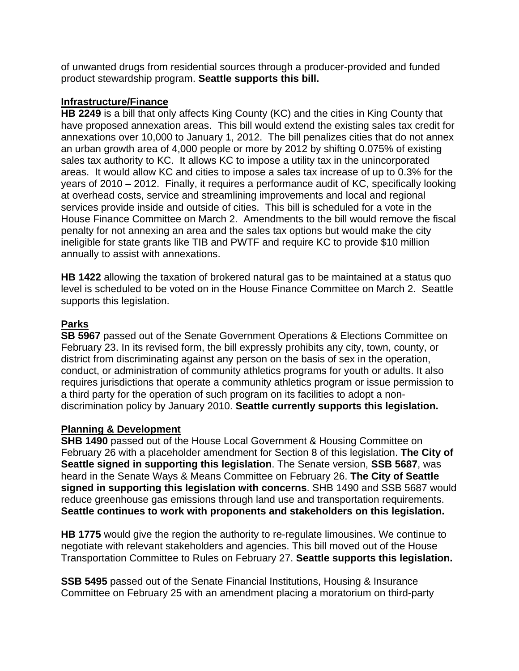of unwanted drugs from residential sources through a producer-provided and funded product stewardship program. **Seattle supports this bill.** 

#### **Infrastructure/Finance**

**HB 2249** is a bill that only affects King County (KC) and the cities in King County that have proposed annexation areas. This bill would extend the existing sales tax credit for annexations over 10,000 to January 1, 2012. The bill penalizes cities that do not annex an urban growth area of 4,000 people or more by 2012 by shifting 0.075% of existing sales tax authority to KC. It allows KC to impose a utility tax in the unincorporated areas. It would allow KC and cities to impose a sales tax increase of up to 0.3% for the years of 2010 – 2012. Finally, it requires a performance audit of KC, specifically looking at overhead costs, service and streamlining improvements and local and regional services provide inside and outside of cities. This bill is scheduled for a vote in the House Finance Committee on March 2. Amendments to the bill would remove the fiscal penalty for not annexing an area and the sales tax options but would make the city ineligible for state grants like TIB and PWTF and require KC to provide \$10 million annually to assist with annexations.

**HB 1422** allowing the taxation of brokered natural gas to be maintained at a status quo level is scheduled to be voted on in the House Finance Committee on March 2. Seattle supports this legislation.

## **Parks**

**SB 5967** passed out of the Senate Government Operations & Elections Committee on February 23. In its revised form, the bill expressly prohibits any city, town, county, or district from discriminating against any person on the basis of sex in the operation, conduct, or administration of community athletics programs for youth or adults. It also requires jurisdictions that operate a community athletics program or issue permission to a third party for the operation of such program on its facilities to adopt a nondiscrimination policy by January 2010. **Seattle currently supports this legislation.**

## **Planning & Development**

**SHB 1490** passed out of the House Local Government & Housing Committee on February 26 with a placeholder amendment for Section 8 of this legislation. **The City of Seattle signed in supporting this legislation**. The Senate version, **SSB 5687**, was heard in the Senate Ways & Means Committee on February 26. **The City of Seattle signed in supporting this legislation with concerns**. SHB 1490 and SSB 5687 would reduce greenhouse gas emissions through land use and transportation requirements. **Seattle continues to work with proponents and stakeholders on this legislation.** 

**HB 1775** would give the region the authority to re-regulate limousines. We continue to negotiate with relevant stakeholders and agencies. This bill moved out of the House Transportation Committee to Rules on February 27. **Seattle supports this legislation.**

**SSB 5495** passed out of the Senate Financial Institutions, Housing & Insurance Committee on February 25 with an amendment placing a moratorium on third-party